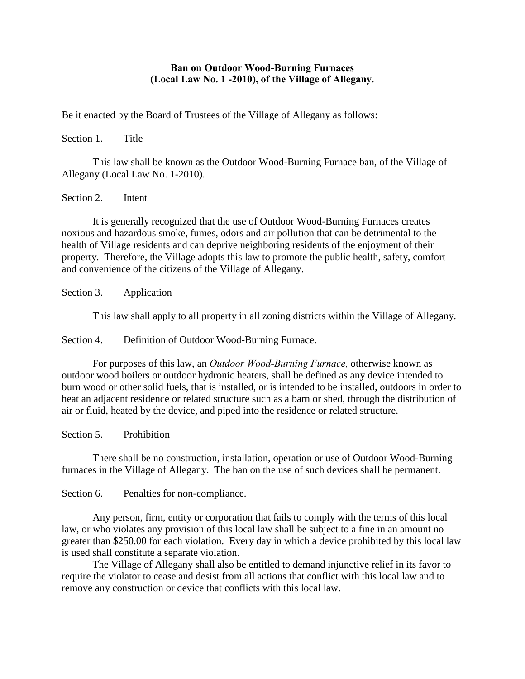## **Ban on Outdoor Wood-Burning Furnaces (Local Law No. 1 -2010), of the Village of Allegany**.

Be it enacted by the Board of Trustees of the Village of Allegany as follows:

Section 1. Title

This law shall be known as the Outdoor Wood-Burning Furnace ban, of the Village of Allegany (Local Law No. 1-2010).

Section 2. Intent

It is generally recognized that the use of Outdoor Wood-Burning Furnaces creates noxious and hazardous smoke, fumes, odors and air pollution that can be detrimental to the health of Village residents and can deprive neighboring residents of the enjoyment of their property. Therefore, the Village adopts this law to promote the public health, safety, comfort and convenience of the citizens of the Village of Allegany.

Section 3. Application

This law shall apply to all property in all zoning districts within the Village of Allegany.

Section 4. Definition of Outdoor Wood-Burning Furnace.

For purposes of this law, an *Outdoor Wood-Burning Furnace,* otherwise known as outdoor wood boilers or outdoor hydronic heaters, shall be defined as any device intended to burn wood or other solid fuels, that is installed, or is intended to be installed, outdoors in order to heat an adjacent residence or related structure such as a barn or shed, through the distribution of air or fluid, heated by the device, and piped into the residence or related structure.

Section 5. Prohibition

There shall be no construction, installation, operation or use of Outdoor Wood-Burning furnaces in the Village of Allegany. The ban on the use of such devices shall be permanent.

Section 6. Penalties for non-compliance.

Any person, firm, entity or corporation that fails to comply with the terms of this local law, or who violates any provision of this local law shall be subject to a fine in an amount no greater than \$250.00 for each violation. Every day in which a device prohibited by this local law is used shall constitute a separate violation.

The Village of Allegany shall also be entitled to demand injunctive relief in its favor to require the violator to cease and desist from all actions that conflict with this local law and to remove any construction or device that conflicts with this local law.